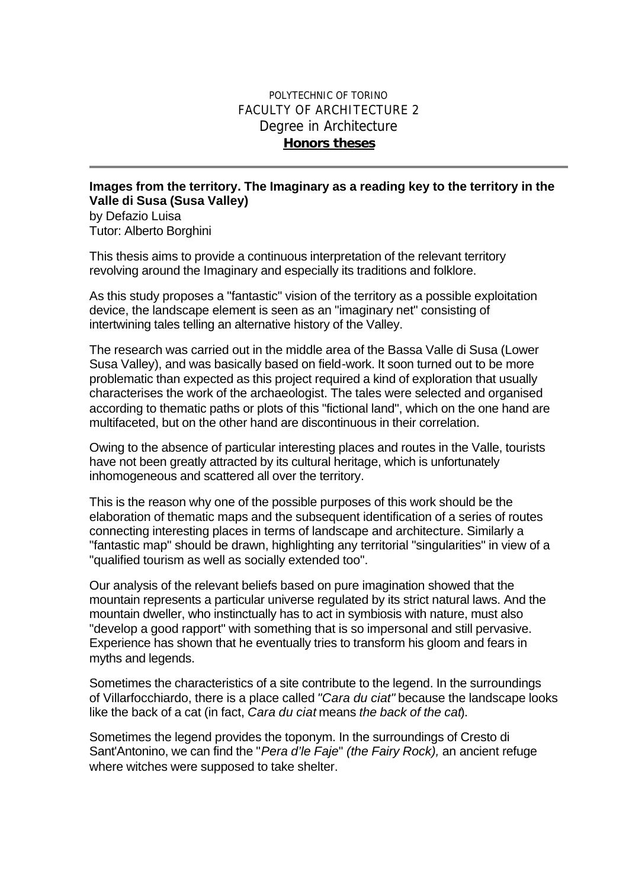## POLYTECHNIC OF TORINO FACULTY OF ARCHITECTURE 2 Degree in Architecture *Honors theses*

## **Images from the territory. The Imaginary as a reading key to the territory in the Valle di Susa (Susa Valley)**

by Defazio Luisa Tutor: Alberto Borghini

This thesis aims to provide a continuous interpretation of the relevant territory revolving around the Imaginary and especially its traditions and folklore.

As this study proposes a "fantastic" vision of the territory as a possible exploitation device, the landscape element is seen as an "imaginary net" consisting of intertwining tales telling an alternative history of the Valley.

The research was carried out in the middle area of the Bassa Valle di Susa (Lower Susa Valley), and was basically based on field-work. It soon turned out to be more problematic than expected as this project required a kind of exploration that usually characterises the work of the archaeologist. The tales were selected and organised according to thematic paths or plots of this "fictional land", which on the one hand are multifaceted, but on the other hand are discontinuous in their correlation.

Owing to the absence of particular interesting places and routes in the Valle, tourists have not been greatly attracted by its cultural heritage, which is unfortunately inhomogeneous and scattered all over the territory.

This is the reason why one of the possible purposes of this work should be the elaboration of thematic maps and the subsequent identification of a series of routes connecting interesting places in terms of landscape and architecture. Similarly a "fantastic map" should be drawn, highlighting any territorial "singularities" in view of a "qualified tourism as well as socially extended too".

Our analysis of the relevant beliefs based on pure imagination showed that the mountain represents a particular universe regulated by its strict natural laws. And the mountain dweller, who instinctually has to act in symbiosis with nature, must also "develop a good rapport" with something that is so impersonal and still pervasive. Experience has shown that he eventually tries to transform his gloom and fears in myths and legends.

Sometimes the characteristics of a site contribute to the legend. In the surroundings of Villarfocchiardo, there is a place called *"Cara du ciat"* because the landscape looks like the back of a cat (in fact, *Cara du ciat* means *the back of the cat*).

Sometimes the legend provides the toponym. In the surroundings of Cresto di Sant'Antonino, we can find the "*Pera d'le Faje*" *(the Fairy Rock),* an ancient refuge where witches were supposed to take shelter.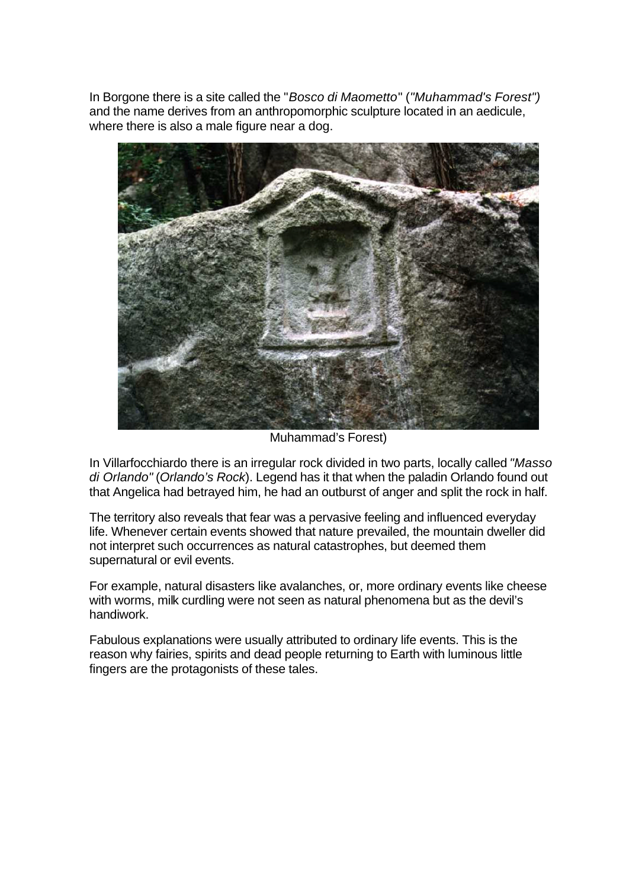In Borgone there is a site called the "*Bosco di Maometto*" (*"Muhammad's Forest")* and the name derives from an anthropomorphic sculpture located in an aedicule, where there is also a male figure near a dog.



Muhammad's Forest)

In Villarfocchiardo there is an irregular rock divided in two parts, locally called *"Masso di Orlando"* (*Orlando's Rock*). Legend has it that when the paladin Orlando found out that Angelica had betrayed him, he had an outburst of anger and split the rock in half.

The territory also reveals that fear was a pervasive feeling and influenced everyday life. Whenever certain events showed that nature prevailed, the mountain dweller did not interpret such occurrences as natural catastrophes, but deemed them supernatural or evil events.

For example, natural disasters like avalanches, or, more ordinary events like cheese with worms, milk curdling were not seen as natural phenomena but as the devil's handiwork.

Fabulous explanations were usually attributed to ordinary life events. This is the reason why fairies, spirits and dead people returning to Earth with luminous little fingers are the protagonists of these tales.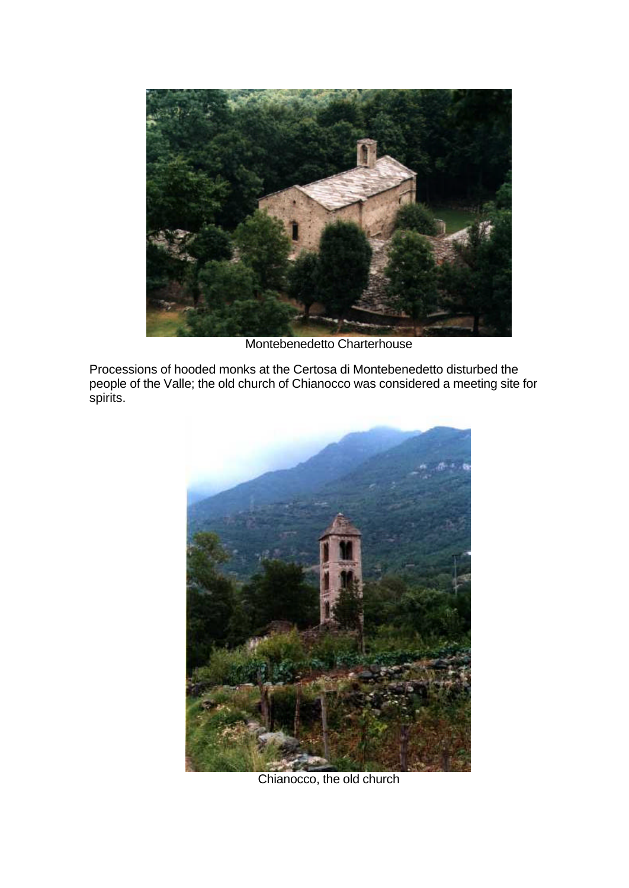

Montebenedetto Charterhouse

Processions of hooded monks at the Certosa di Montebenedetto disturbed the people of the Valle; the old church of Chianocco was considered a meeting site for spirits.



Chianocco, the old church